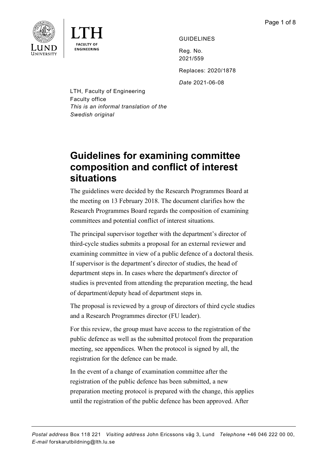

**ENGINEERING** 

GUIDELINES

Reg. No. 2021/559 Replaces: 2020/1878

*Date* 2021-06-08

LTH, Faculty of Engineering Faculty office *This is an informal translation of the Swedish original*

# **Guidelines for examining committee composition and conflict of interest situations**

The guidelines were decided by the Research Programmes Board at the meeting on 13 February 2018. The document clarifies how the Research Programmes Board regards the composition of examining committees and potential conflict of interest situations.

The principal supervisor together with the department's director of third-cycle studies submits a proposal for an external reviewer and examining committee in view of a public defence of a doctoral thesis. If supervisor is the department's director of studies, the head of department steps in. In cases where the department's director of studies is prevented from attending the preparation meeting, the head of department/deputy head of department steps in.

The proposal is reviewed by a group of directors of third cycle studies and a Research Programmes director (FU leader).

For this review, the group must have access to the registration of the public defence as well as the submitted protocol from the preparation meeting, see appendices. When the protocol is signed by all, the registration for the defence can be made.

In the event of a change of examination committee after the registration of the public defence has been submitted, a new preparation meeting protocol is prepared with the change, this applies until the registration of the public defence has been approved. After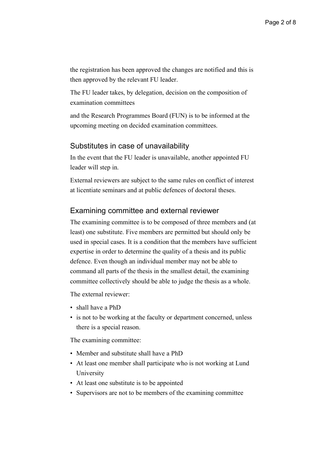the registration has been approved the changes are notified and this is then approved by the relevant FU leader.

The FU leader takes, by delegation, decision on the composition of examination committees

and the Research Programmes Board (FUN) is to be informed at the upcoming meeting on decided examination committees.

## Substitutes in case of unavailability

In the event that the FU leader is unavailable, another appointed FU leader will step in.

External reviewers are subject to the same rules on conflict of interest at licentiate seminars and at public defences of doctoral theses.

## Examining committee and external reviewer

The examining committee is to be composed of three members and (at least) one substitute. Five members are permitted but should only be used in special cases. It is a condition that the members have sufficient expertise in order to determine the quality of a thesis and its public defence. Even though an individual member may not be able to command all parts of the thesis in the smallest detail, the examining committee collectively should be able to judge the thesis as a whole.

The external reviewer:

- shall have a PhD
- is not to be working at the faculty or department concerned, unless there is a special reason.

The examining committee:

- Member and substitute shall have a PhD
- At least one member shall participate who is not working at Lund University
- At least one substitute is to be appointed
- Supervisors are not to be members of the examining committee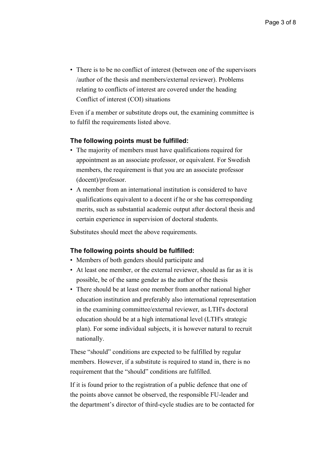• There is to be no conflict of interest (between one of the supervisors /author of the thesis and members/external reviewer). Problems relating to conflicts of interest are covered under the heading Conflict of interest (COI) situations

Even if a member or substitute drops out, the examining committee is to fulfil the requirements listed above.

## **The following points must be fulfilled:**

- The majority of members must have qualifications required for appointment as an associate professor, or equivalent. For Swedish members, the requirement is that you are an associate professor (docent)/professor.
- A member from an international institution is considered to have qualifications equivalent to a docent if he or she has corresponding merits, such as substantial academic output after doctoral thesis and certain experience in supervision of doctoral students.

Substitutes should meet the above requirements.

### **The following points should be fulfilled:**

- Members of both genders should participate and
- At least one member, or the external reviewer, should as far as it is possible, be of the same gender as the author of the thesis
- There should be at least one member from another national higher education institution and preferably also international representation in the examining committee/external reviewer, as LTH's doctoral education should be at a high international level (LTH's strategic plan). For some individual subjects, it is however natural to recruit nationally.

These "should" conditions are expected to be fulfilled by regular members. However, if a substitute is required to stand in, there is no requirement that the "should" conditions are fulfilled.

If it is found prior to the registration of a public defence that one of the points above cannot be observed, the responsible FU-leader and the department's director of third-cycle studies are to be contacted for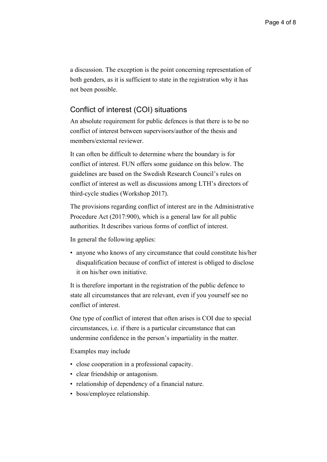a discussion. The exception is the point concerning representation of both genders, as it is sufficient to state in the registration why it has not been possible.

## Conflict of interest (COI) situations

An absolute requirement for public defences is that there is to be no conflict of interest between supervisors/author of the thesis and members/external reviewer.

It can often be difficult to determine where the boundary is for conflict of interest. FUN offers some guidance on this below. The guidelines are based on the Swedish Research Council's rules on conflict of interest as well as discussions among LTH's directors of third-cycle studies (Workshop 2017).

The provisions regarding conflict of interest are in the Administrative Procedure Act (2017:900), which is a general law for all public authorities. It describes various forms of conflict of interest.

In general the following applies:

• anyone who knows of any circumstance that could constitute his/her disqualification because of conflict of interest is obliged to disclose it on his/her own initiative.

It is therefore important in the registration of the public defence to state all circumstances that are relevant, even if you yourself see no conflict of interest.

One type of conflict of interest that often arises is COI due to special circumstances, i.e. if there is a particular circumstance that can undermine confidence in the person's impartiality in the matter.

Examples may include

- close cooperation in a professional capacity.
- clear friendship or antagonism.
- relationship of dependency of a financial nature.
- boss/employee relationship.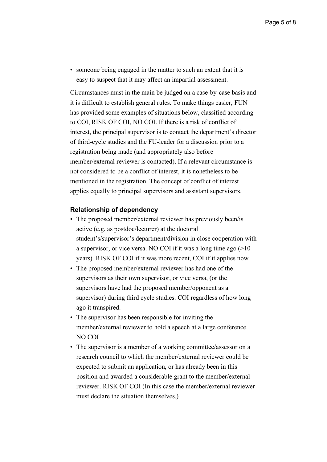• someone being engaged in the matter to such an extent that it is easy to suspect that it may affect an impartial assessment.

Circumstances must in the main be judged on a case-by-case basis and it is difficult to establish general rules. To make things easier, FUN has provided some examples of situations below, classified according to COI, RISK OF COI, NO COI. If there is a risk of conflict of interest, the principal supervisor is to contact the department's director of third-cycle studies and the FU-leader for a discussion prior to a registration being made (and appropriately also before member/external reviewer is contacted). If a relevant circumstance is not considered to be a conflict of interest, it is nonetheless to be mentioned in the registration. The concept of conflict of interest applies equally to principal supervisors and assistant supervisors.

#### **Relationship of dependency**

- The proposed member/external reviewer has previously been/is active (e.g. as postdoc/lecturer) at the doctoral student's/supervisor's department/division in close cooperation with a supervisor, or vice versa. NO COI if it was a long time ago (>10 years). RISK OF COI if it was more recent, COI if it applies now.
- The proposed member/external reviewer has had one of the supervisors as their own supervisor, or vice versa, (or the supervisors have had the proposed member/opponent as a supervisor) during third cycle studies. COI regardless of how long ago it transpired.
- The supervisor has been responsible for inviting the member/external reviewer to hold a speech at a large conference. NO COI
- The supervisor is a member of a working committee/assessor on a research council to which the member/external reviewer could be expected to submit an application, or has already been in this position and awarded a considerable grant to the member/external reviewer. RISK OF COI (In this case the member/external reviewer must declare the situation themselves.)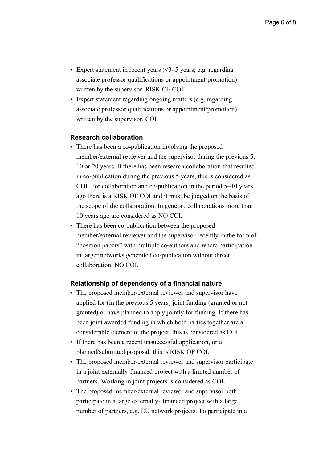- Expert statement in recent years  $($  < 3–5 years; e.g. regarding associate professor qualifications or appointment/promotion) written by the supervisor. RISK OF COI
- Expert statement regarding ongoing matters (e.g. regarding associate professor qualifications or appointment/promotion) written by the supervisor. COI

### **Research collaboration**

- There has been a co-publication involving the proposed member/external reviewer and the supervisor during the previous 5, 10 or 20 years. If there has been research collaboration that resulted in co-publication during the previous 5 years, this is considered as COI. For collaboration and co-publication in the period 5–10 years ago there is a RISK OF COI and it must be judged on the basis of the scope of the collaboration. In general, collaborations more than 10 years ago are considered as NO COI.
- There has been co-publication between the proposed member/external reviewer and the supervisor recently in the form of "position papers" with multiple co-authors and where participation in larger networks generated co-publication without direct collaboration. NO COI.

### **Relationship of dependency of a financial nature**

- The proposed member/external reviewer and supervisor have applied for (in the previous 5 years) joint funding (granted or not granted) or have planned to apply jointly for funding. If there has been joint awarded funding in which both parties together are a considerable element of the project, this is considered as COI.
- If there has been a recent unsuccessful application, or a planned/submitted proposal, this is RISK OF COI.
- The proposed member/external reviewer and supervisor participate in a joint externally-financed project with a limited number of partners. Working in joint projects is considered as COI.
- The proposed member/external reviewer and supervisor both participate in a large externally- financed project with a large number of partners, e.g. EU network projects. To participate in a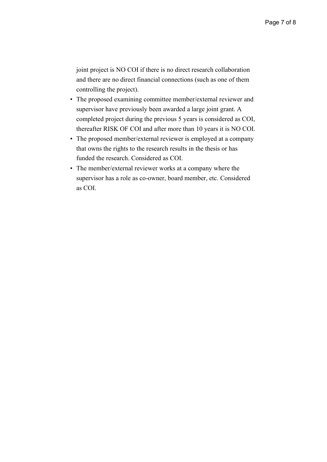joint project is NO COI if there is no direct research collaboration and there are no direct financial connections (such as one of them controlling the project).

- The proposed examining committee member/external reviewer and supervisor have previously been awarded a large joint grant. A completed project during the previous 5 years is considered as COI, thereafter RISK OF COI and after more than 10 years it is NO COI.
- The proposed member/external reviewer is employed at a company that owns the rights to the research results in the thesis or has funded the research. Considered as COI.
- The member/external reviewer works at a company where the supervisor has a role as co-owner, board member, etc. Considered as COI.